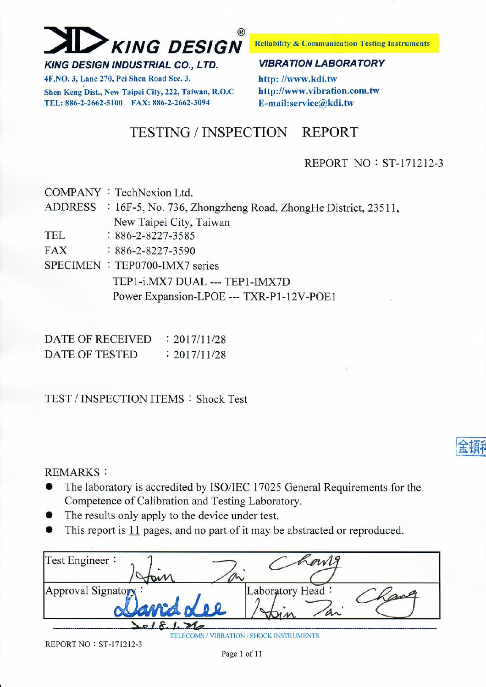

Shen Keng Dist., New Taipei City, 222, Taiwan, R.O.C.

4F.NO. 3, Lane 270, Pei Shen Road Sec. 3,

TEL: 886-2-2662-5100 FAX: 886-2-2662-3094

**Reliability & Communication Testing Instruments** 

#### **VIBRATION LABORATORY**

http://www.kdi.tw http://www.vibration.com.tw E-mail:service@kdi.tw

#### **TESTING / INSPECTION REPORT**

#### REPORT NO: ST-171212-3

|     | COMPANY: TechNexion Ltd.                                            |
|-----|---------------------------------------------------------------------|
|     | ADDRESS : 16F-5, No. 736, Zhongzheng Road, ZhongHe District, 23511, |
|     | New Taipei City, Taiwan                                             |
| TEL | $: 886 - 2 - 8227 - 3585$                                           |
| FAX | $: 886 - 2 - 8227 - 3590$                                           |
|     | SPECIMEN : TEP0700-IMX7 series                                      |
|     | TEP1-i.MX7 DUAL --- TEP1-IMX7D                                      |
|     | Power Expansion-LPOE --- TXR-P1-12V-POE1                            |
|     |                                                                     |

| DATE OF RECEIVED | : 2017/11/28 |
|------------------|--------------|
| DATE OF TESTED   | : 2017/11/28 |

### **TEST / INSPECTION ITEMS: Shock Test**

#### **REMARKS:**

- The laboratory is accredited by ISO/IEC 17025 General Requirements for the  $\bullet$ Competence of Calibration and Testing Laboratory.
- The results only apply to the device under test.
- This report is 11 pages, and no part of it may be abstracted or reproduced.

| Test Engineer:     |                                 |     |
|--------------------|---------------------------------|-----|
|                    |                                 |     |
| Approval Signatory | 'Laboratory Head:<br>$a\sim$    | ang |
|                    |                                 |     |
|                    | / VIBRATION / SHOCK INSTRUMENTS |     |

**REPORT NO: ST-171212-3**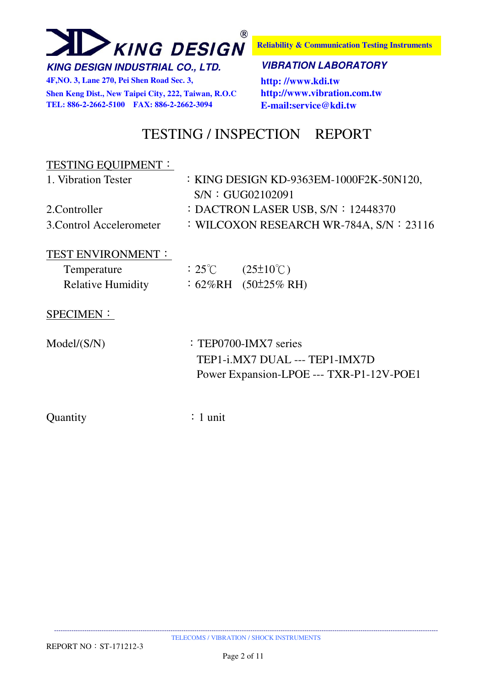

**Reliability & Communication Testing Instruments**

#### **KING DESIGN INDUSTRIAL CO., LTD. VIBRATION LABORATORY**

**4F,NO. 3, Lane 270, Pei Shen Road Sec. 3, http: //www.kdi.tw Shen Keng Dist., New Taipei City, 222, Taiwan, R.O.C http://www.vibration.com.tw TEL: 886-2-2662-5100 FAX: 886-2-2662-3094 E-mail:service@kdi.tw**

### TESTING / INSPECTION REPORT

### TESTING EQUIPMENT: 1. Vibration Tester : KING DESIGN KD-9363EM-1000F2K-50N120, S/N:GUG02102091 2. Controller : DACTRON LASER USB, S/N : 12448370 3.Control Accelerometer : WILCOXON RESEARCH WR-784A, S/N: 23116

#### TEST ENVIRONMENT:

| Temperature              | $:25^{\circ}C$ | $(25\pm10^{\circ}\text{C})$ |
|--------------------------|----------------|-----------------------------|
| <b>Relative Humidity</b> |                | $:62\%RH$ $(50\pm25\%RH)$   |

#### SPECIMEN:

 $Model(S/N)$  : TEP0700-IMX7 series TEP1-i.MX7 DUAL --- TEP1-IMX7D Power Expansion-LPOE --- TXR-P1-12V-POE1

Quantity : 1 unit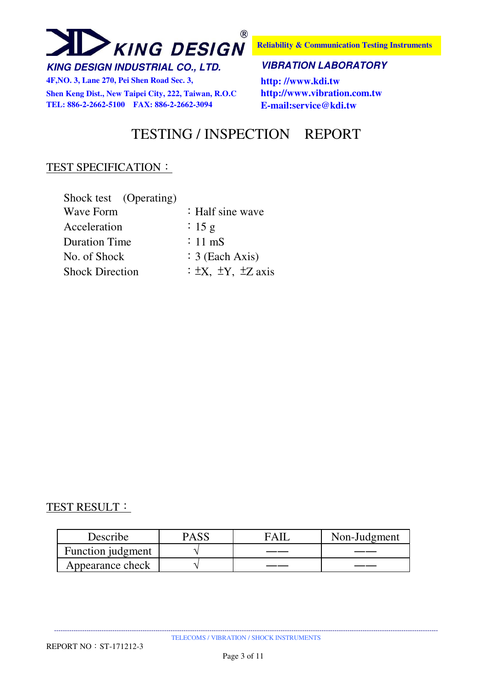

**4F,NO. 3, Lane 270, Pei Shen Road Sec. 3, http: //www.kdi.tw Shen Keng Dist., New Taipei City, 222, Taiwan, R.O.C http://www.vibration.com.tw TEL: 886-2-2662-5100 FAX: 886-2-2662-3094 E-mail:service@kdi.tw**

**Reliability & Communication Testing Instruments**

#### **KING DESIGN INDUSTRIAL CO., LTD. VIBRATION LABORATORY**

### TESTING / INSPECTION REPORT

#### TEST SPECIFICATION:

| Shock test (Operating) |                                       |
|------------------------|---------------------------------------|
| <b>Wave Form</b>       | $\div$ Half sine wave                 |
| Acceleration           | : 15 g                                |
| <b>Duration Time</b>   | $\div$ 11 mS                          |
| No. of Shock           | $\div$ 3 (Each Axis)                  |
| <b>Shock Direction</b> | $\div \pm X$ , $\pm Y$ , $\pm Z$ axis |

#### TEST RESULT:

| Describe          | PASS | FAII | Non-Judgment |
|-------------------|------|------|--------------|
| Function judgment |      |      |              |
| Appearance check  |      |      |              |

---------------------------------------------------------------------------------------------------------------------------------------------------------------------------------- TELECOMS / VIBRATION / SHOCK INSTRUMENTS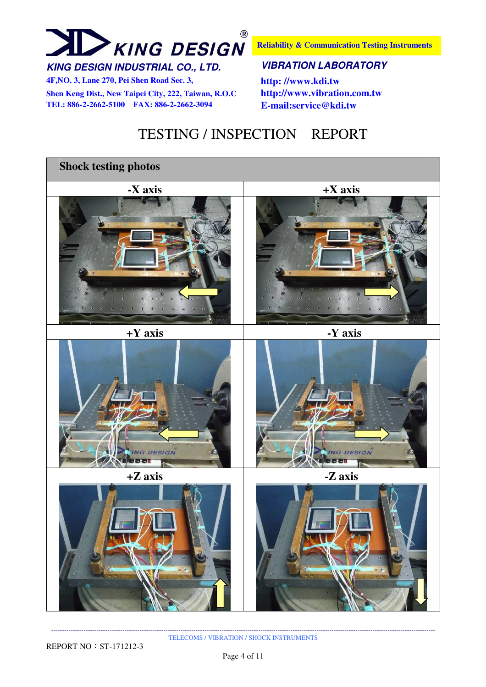## $\circledR$ **XING DESIGN**

**Reliability & Communication Testing Instruments**

#### **KING DESIGN INDUSTRIAL CO., LTD. VIBRATION LABORATORY**

**4F,NO. 3, Lane 270, Pei Shen Road Sec. 3, http: //www.kdi.tw Shen Keng Dist., New Taipei City, 222, Taiwan, R.O.C http://www.vibration.com.tw TEL: 886-2-2662-5100 FAX: 886-2-2662-3094 E-mail:service@kdi.tw**

### TESTING / INSPECTION REPORT



---------------------------------------------------------------------------------------------------------------------------------------------------------------------------------- TELECOMS / VIBRATION / SHOCK INSTRUMENTS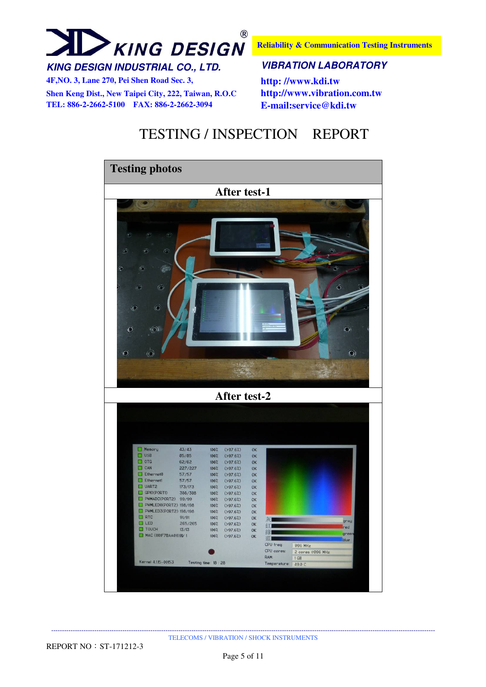

**Reliability & Communication Testing Instruments**

**4F,NO. 3, Lane 270, Pei Shen Road Sec. 3, http: //www.kdi.tw Shen Keng Dist., New Taipei City, 222, Taiwan, R.O.C http://www.vibration.com.tw TEL: 886-2-2662-5100 FAX: 886-2-2662-3094 E-mail:service@kdi.tw**

### TESTING / INSPECTION REPORT

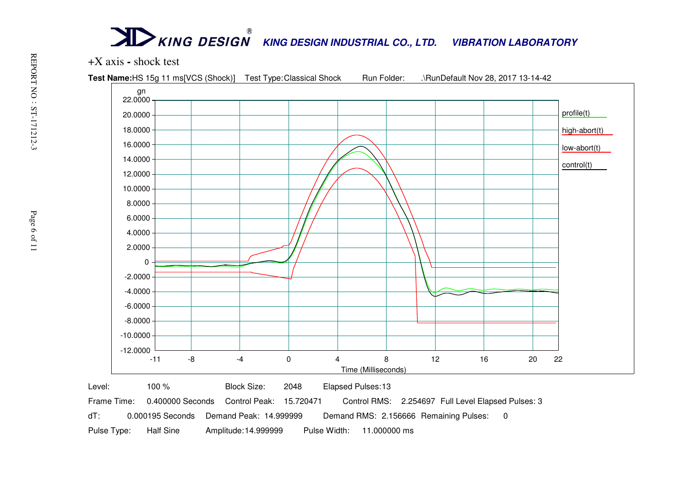

dT: 0.000195 Seconds Demand Peak: 14.999999 Demand RMS: 2.156666 Remaining Pulses: 0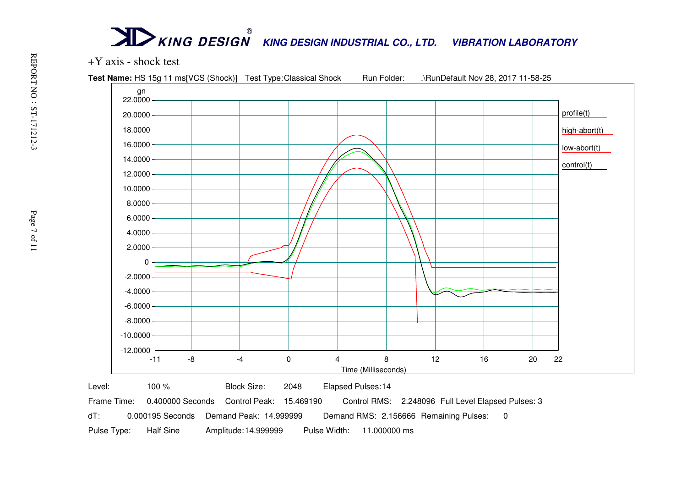

Frame Time: 0.400000 Seconds Control Peak: 15.469190 Control RMS: 2.248096 Full Level Elapsed Pulses: 3

dT: 0.000195 Seconds Demand Peak: 14.999999 Demand RMS: 2.156666 Remaining Pulses: 0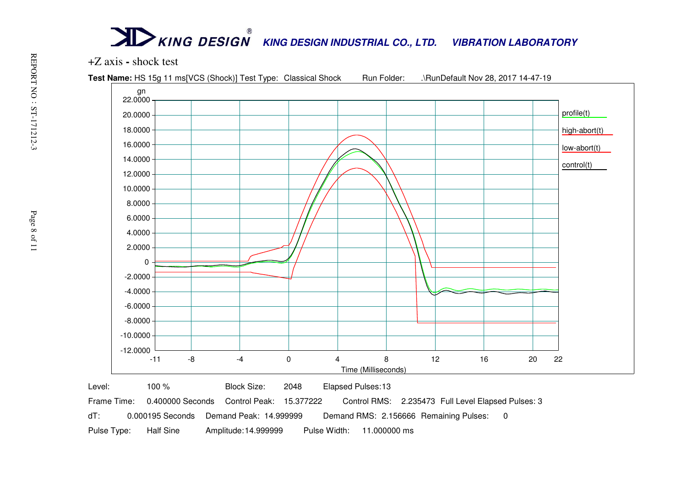

dT: 0.000195 Seconds Demand Peak: 14.999999 Demand RMS: 2.156666 Remaining Pulses: 0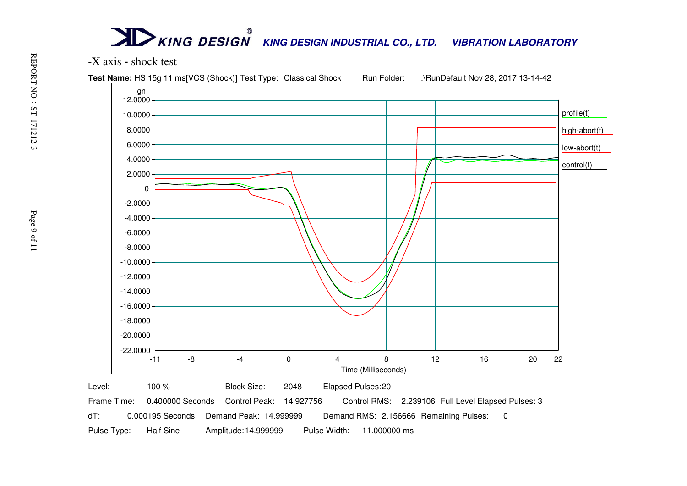

dT: 0.000195 Seconds Demand Peak: 14.999999 Demand RMS: 2.156666 Remaining Pulses: 0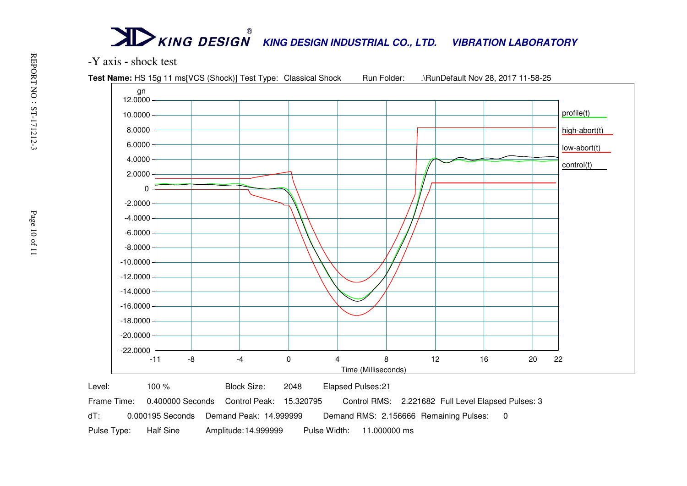

dT: 0.000195 Seconds Demand Peak: 14.999999 Demand RMS: 2.156666 Remaining Pulses: 0